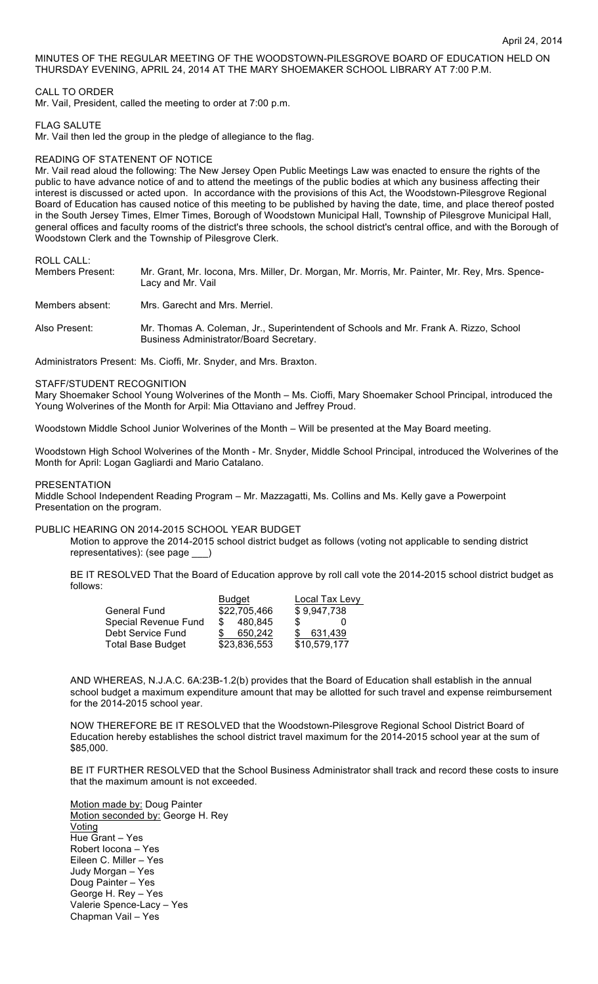MINUTES OF THE REGULAR MEETING OF THE WOODSTOWN-PILESGROVE BOARD OF EDUCATION HELD ON THURSDAY EVENING, APRIL 24, 2014 AT THE MARY SHOEMAKER SCHOOL LIBRARY AT 7:00 P.M.

## CALL TO ORDER

Mr. Vail, President, called the meeting to order at 7:00 p.m.

#### FLAG SALUTE

Mr. Vail then led the group in the pledge of allegiance to the flag.

### READING OF STATENENT OF NOTICE

Mr. Vail read aloud the following: The New Jersey Open Public Meetings Law was enacted to ensure the rights of the public to have advance notice of and to attend the meetings of the public bodies at which any business affecting their interest is discussed or acted upon. In accordance with the provisions of this Act, the Woodstown-Pilesgrove Regional Board of Education has caused notice of this meeting to be published by having the date, time, and place thereof posted in the South Jersey Times, Elmer Times, Borough of Woodstown Municipal Hall, Township of Pilesgrove Municipal Hall, general offices and faculty rooms of the district's three schools, the school district's central office, and with the Borough of Woodstown Clerk and the Township of Pilesgrove Clerk.

ROLL CALL:

| Members Present: | Mr. Grant, Mr. Iocona, Mrs. Miller, Dr. Morgan, Mr. Morris, Mr. Painter, Mr. Rey, Mrs. Spence-<br>Lacy and Mr. Vail             |  |  |  |
|------------------|---------------------------------------------------------------------------------------------------------------------------------|--|--|--|
| Members absent:  | Mrs. Garecht and Mrs. Merriel.                                                                                                  |  |  |  |
| Also Present:    | Mr. Thomas A. Coleman, Jr., Superintendent of Schools and Mr. Frank A. Rizzo, School<br>Business Administrator/Board Secretary. |  |  |  |
|                  |                                                                                                                                 |  |  |  |

Administrators Present: Ms. Cioffi, Mr. Snyder, and Mrs. Braxton.

### STAFF/STUDENT RECOGNITION

Mary Shoemaker School Young Wolverines of the Month – Ms. Cioffi, Mary Shoemaker School Principal, introduced the Young Wolverines of the Month for Arpil: Mia Ottaviano and Jeffrey Proud.

Woodstown Middle School Junior Wolverines of the Month – Will be presented at the May Board meeting.

Woodstown High School Wolverines of the Month - Mr. Snyder, Middle School Principal, introduced the Wolverines of the Month for April: Logan Gagliardi and Mario Catalano.

#### PRESENTATION

Middle School Independent Reading Program – Mr. Mazzagatti, Ms. Collins and Ms. Kelly gave a Powerpoint Presentation on the program.

## PUBLIC HEARING ON 2014-2015 SCHOOL YEAR BUDGET

Motion to approve the 2014-2015 school district budget as follows (voting not applicable to sending district representatives): (see page \_\_\_)

BE IT RESOLVED That the Board of Education approve by roll call vote the 2014-2015 school district budget as follows:

|                      | Budget<br>\$22,705,466 |              | Local Tax Levy<br>\$9,947,738 |              |
|----------------------|------------------------|--------------|-------------------------------|--------------|
| General Fund         |                        |              |                               |              |
| Special Revenue Fund | \$                     | 480.845      | \$.                           | $\mathbf{I}$ |
| Debt Service Fund    |                        | 650,242      | - SS                          | 631,439      |
| Total Base Budget    |                        | \$23,836,553 |                               | \$10,579,177 |

AND WHEREAS, N.J.A.C. 6A:23B-1.2(b) provides that the Board of Education shall establish in the annual school budget a maximum expenditure amount that may be allotted for such travel and expense reimbursement for the 2014-2015 school year.

NOW THEREFORE BE IT RESOLVED that the Woodstown-Pilesgrove Regional School District Board of Education hereby establishes the school district travel maximum for the 2014-2015 school year at the sum of \$85,000.

BE IT FURTHER RESOLVED that the School Business Administrator shall track and record these costs to insure that the maximum amount is not exceeded.

Motion made by: Doug Painter Motion seconded by: George H. Rey Voting Hue Grant – Yes Robert Iocona – Yes Eileen C. Miller – Yes Judy Morgan – Yes Doug Painter – Yes George H. Rey – Yes Valerie Spence-Lacy – Yes Chapman Vail – Yes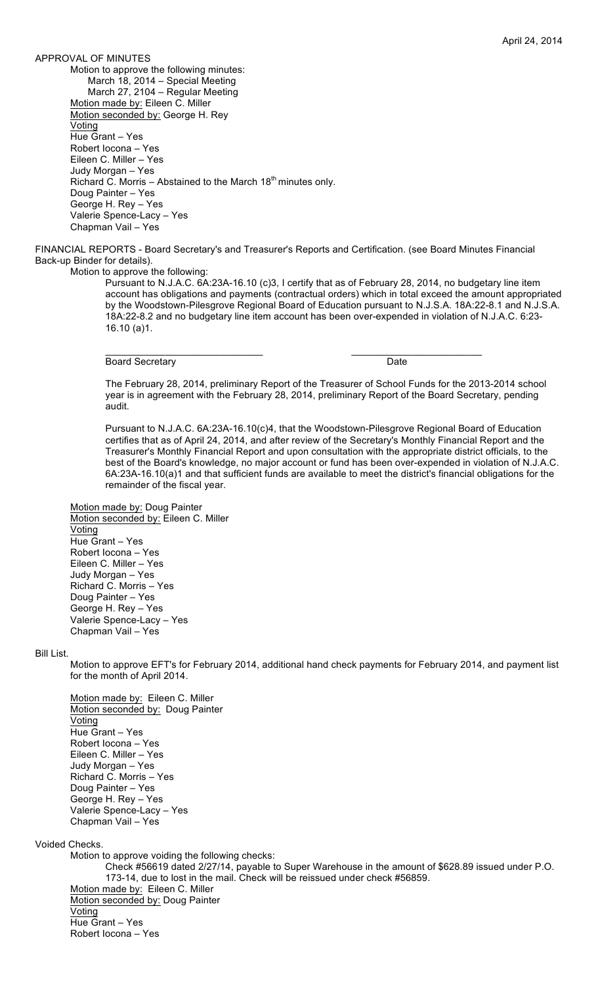APPROVAL OF MINUTES Motion to approve the following minutes: March 18, 2014 – Special Meeting March 27, 2104 – Regular Meeting Motion made by: Eileen C. Miller Motion seconded by: George H. Rey **Voting** Hue Grant – Yes Robert Iocona – Yes Eileen C. Miller – Yes Judy Morgan – Yes Richard C. Morris – Abstained to the March  $18<sup>th</sup>$  minutes only. Doug Painter – Yes George H. Rey – Yes Valerie Spence-Lacy – Yes Chapman Vail – Yes

FINANCIAL REPORTS - Board Secretary's and Treasurer's Reports and Certification. (see Board Minutes Financial Back-up Binder for details).

 $\overline{\phantom{a}}$  , and the contribution of the contribution of  $\overline{\phantom{a}}$  , and  $\overline{\phantom{a}}$  , and  $\overline{\phantom{a}}$  , and  $\overline{\phantom{a}}$ 

Motion to approve the following:

Pursuant to N.J.A.C. 6A:23A-16.10 (c)3, I certify that as of February 28, 2014, no budgetary line item account has obligations and payments (contractual orders) which in total exceed the amount appropriated by the Woodstown-Pilesgrove Regional Board of Education pursuant to N.J.S.A. 18A:22-8.1 and N.J.S.A. 18A:22-8.2 and no budgetary line item account has been over-expended in violation of N.J.A.C. 6:23- 16.10 (a)1.

Board Secretary **Date** 

The February 28, 2014, preliminary Report of the Treasurer of School Funds for the 2013-2014 school year is in agreement with the February 28, 2014, preliminary Report of the Board Secretary, pending audit.

Pursuant to N.J.A.C. 6A:23A-16.10(c)4, that the Woodstown-Pilesgrove Regional Board of Education certifies that as of April 24, 2014, and after review of the Secretary's Monthly Financial Report and the Treasurer's Monthly Financial Report and upon consultation with the appropriate district officials, to the best of the Board's knowledge, no major account or fund has been over-expended in violation of N.J.A.C. 6A:23A-16.10(a)1 and that sufficient funds are available to meet the district's financial obligations for the remainder of the fiscal year.

Motion made by: Doug Painter Motion seconded by: Eileen C. Miller Voting Hue Grant – Yes Robert Iocona – Yes Eileen C. Miller – Yes Judy Morgan – Yes Richard C. Morris – Yes Doug Painter – Yes George H. Rey – Yes Valerie Spence-Lacy – Yes Chapman Vail – Yes

## Bill List.

Motion to approve EFT's for February 2014, additional hand check payments for February 2014, and payment list for the month of April 2014.

Motion made by: Eileen C. Miller Motion seconded by: Doug Painter **Voting** Hue Grant – Yes Robert Iocona – Yes Eileen C. Miller – Yes Judy Morgan – Yes Richard C. Morris – Yes Doug Painter – Yes George H. Rey – Yes Valerie Spence-Lacy – Yes Chapman Vail – Yes

Voided Checks.

Motion to approve voiding the following checks:

Check #56619 dated 2/27/14, payable to Super Warehouse in the amount of \$628.89 issued under P.O. 173-14, due to lost in the mail. Check will be reissued under check #56859. Motion made by: Eileen C. Miller Motion seconded by: Doug Painter **Voting** Hue Grant – Yes Robert Iocona – Yes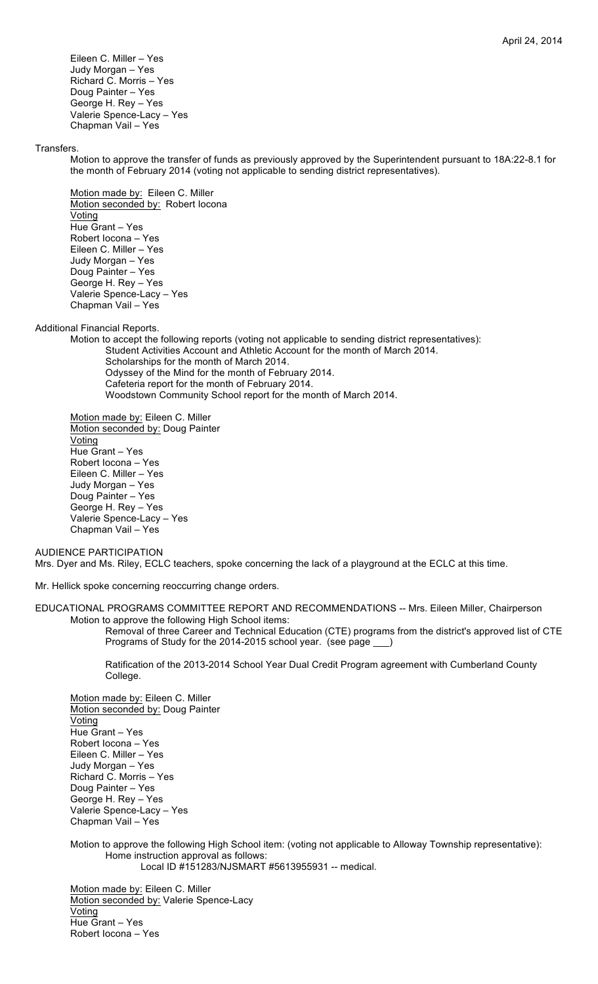Eileen C. Miller – Yes Judy Morgan – Yes Richard C. Morris – Yes Doug Painter – Yes George H. Rey – Yes Valerie Spence-Lacy – Yes Chapman Vail – Yes

#### Transfers.

Motion to approve the transfer of funds as previously approved by the Superintendent pursuant to 18A:22-8.1 for the month of February 2014 (voting not applicable to sending district representatives).

Motion made by: Eileen C. Miller Motion seconded by: Robert locona **Voting** Hue Grant – Yes Robert Iocona – Yes Eileen C. Miller – Yes Judy Morgan – Yes Doug Painter – Yes George H. Rey – Yes Valerie Spence-Lacy – Yes Chapman Vail – Yes

Additional Financial Reports.

Motion to accept the following reports (voting not applicable to sending district representatives): Student Activities Account and Athletic Account for the month of March 2014. Scholarships for the month of March 2014. Odyssey of the Mind for the month of February 2014. Cafeteria report for the month of February 2014. Woodstown Community School report for the month of March 2014.

Motion made by: Eileen C. Miller Motion seconded by: Doug Painter Voting Hue Grant – Yes Robert Iocona – Yes Eileen C. Miller – Yes Judy Morgan – Yes Doug Painter – Yes George H. Rey – Yes Valerie Spence-Lacy – Yes Chapman Vail – Yes

AUDIENCE PARTICIPATION Mrs. Dyer and Ms. Riley, ECLC teachers, spoke concerning the lack of a playground at the ECLC at this time.

Mr. Hellick spoke concerning reoccurring change orders.

EDUCATIONAL PROGRAMS COMMITTEE REPORT AND RECOMMENDATIONS -- Mrs. Eileen Miller, Chairperson Motion to approve the following High School items:

Removal of three Career and Technical Education (CTE) programs from the district's approved list of CTE Programs of Study for the 2014-2015 school year. (see page \_\_\_)

Ratification of the 2013-2014 School Year Dual Credit Program agreement with Cumberland County College.

Motion made by: Eileen C. Miller Motion seconded by: Doug Painter **Voting** Hue Grant – Yes Robert Iocona – Yes Eileen C. Miller – Yes Judy Morgan – Yes Richard C. Morris – Yes Doug Painter – Yes George H. Rey – Yes Valerie Spence-Lacy – Yes Chapman Vail – Yes

Motion to approve the following High School item: (voting not applicable to Alloway Township representative): Home instruction approval as follows: Local ID #151283/NJSMART #5613955931 -- medical.

Motion made by: Eileen C. Miller Motion seconded by: Valerie Spence-Lacy Voting Hue Grant – Yes Robert Iocona – Yes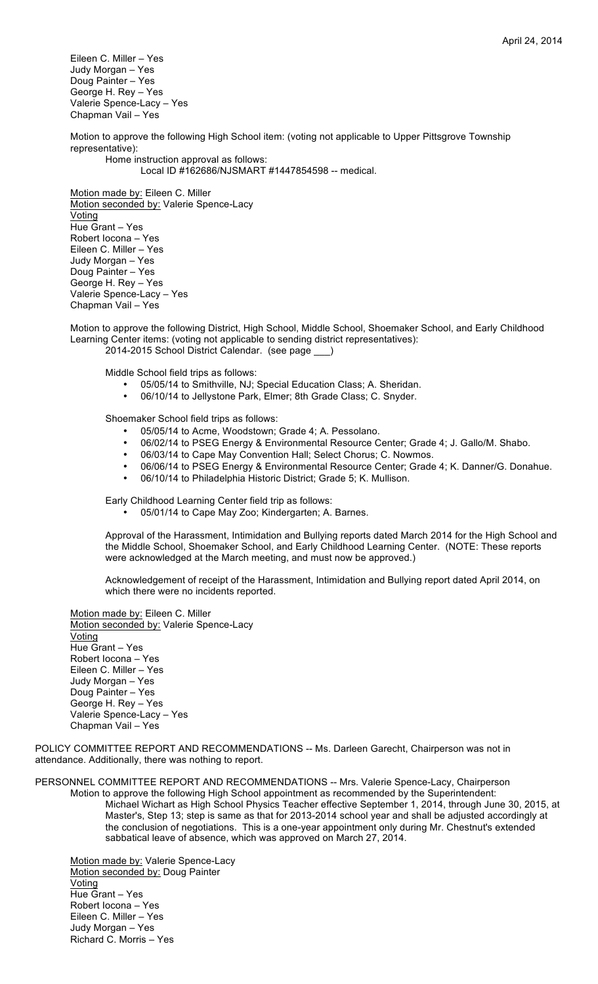Eileen C. Miller – Yes Judy Morgan – Yes Doug Painter – Yes George H. Rey – Yes Valerie Spence-Lacy – Yes Chapman Vail – Yes

Motion to approve the following High School item: (voting not applicable to Upper Pittsgrove Township representative):

Home instruction approval as follows:

Local ID #162686/NJSMART #1447854598 -- medical.

Motion made by: Eileen C. Miller Motion seconded by: Valerie Spence-Lacy Voting Hue Grant – Yes Robert Iocona – Yes Eileen C. Miller – Yes Judy Morgan – Yes Doug Painter – Yes George H. Rey – Yes Valerie Spence-Lacy – Yes Chapman Vail – Yes

Motion to approve the following District, High School, Middle School, Shoemaker School, and Early Childhood Learning Center items: (voting not applicable to sending district representatives): 2014-2015 School District Calendar. (see page \_

Middle School field trips as follows:

- 05/05/14 to Smithville, NJ; Special Education Class; A. Sheridan.<br>• 06/10/14 to Jellystone Park, Elmer: 8th Grade Class: C. Spyder
- 06/10/14 to Jellystone Park, Elmer; 8th Grade Class; C. Snyder.

Shoemaker School field trips as follows:

- 05/05/14 to Acme, Woodstown; Grade 4; A. Pessolano.
- 06/02/14 to PSEG Energy & Environmental Resource Center; Grade 4; J. Gallo/M. Shabo.<br>• 06/03/14 to Cane May Convention Hall: Select Chorus: C. Nowmos
- 06/03/14 to Cape May Convention Hall; Select Chorus; C. Nowmos.
- 06/06/14 to PSEG Energy & Environmental Resource Center; Grade 4; K. Danner/G. Donahue.
- 06/10/14 to Philadelphia Historic District; Grade 5; K. Mullison.

Early Childhood Learning Center field trip as follows:

• 05/01/14 to Cape May Zoo; Kindergarten; A. Barnes.

Approval of the Harassment, Intimidation and Bullying reports dated March 2014 for the High School and the Middle School, Shoemaker School, and Early Childhood Learning Center. (NOTE: These reports were acknowledged at the March meeting, and must now be approved.)

Acknowledgement of receipt of the Harassment, Intimidation and Bullying report dated April 2014, on which there were no incidents reported.

Motion made by: Eileen C. Miller Motion seconded by: Valerie Spence-Lacy Voting Hue Grant – Yes Robert Iocona – Yes Eileen C. Miller – Yes Judy Morgan – Yes Doug Painter – Yes George H. Rey – Yes Valerie Spence-Lacy – Yes Chapman Vail – Yes

POLICY COMMITTEE REPORT AND RECOMMENDATIONS -- Ms. Darleen Garecht, Chairperson was not in attendance. Additionally, there was nothing to report.

sabbatical leave of absence, which was approved on March 27, 2014.

PERSONNEL COMMITTEE REPORT AND RECOMMENDATIONS -- Mrs. Valerie Spence-Lacy, Chairperson Motion to approve the following High School appointment as recommended by the Superintendent: Michael Wichart as High School Physics Teacher effective September 1, 2014, through June 30, 2015, at Master's, Step 13; step is same as that for 2013-2014 school year and shall be adjusted accordingly at the conclusion of negotiations. This is a one-year appointment only during Mr. Chestnut's extended

Motion made by: Valerie Spence-Lacy Motion seconded by: Doug Painter Voting Hue Grant – Yes Robert Iocona – Yes Eileen C. Miller – Yes Judy Morgan – Yes Richard C. Morris – Yes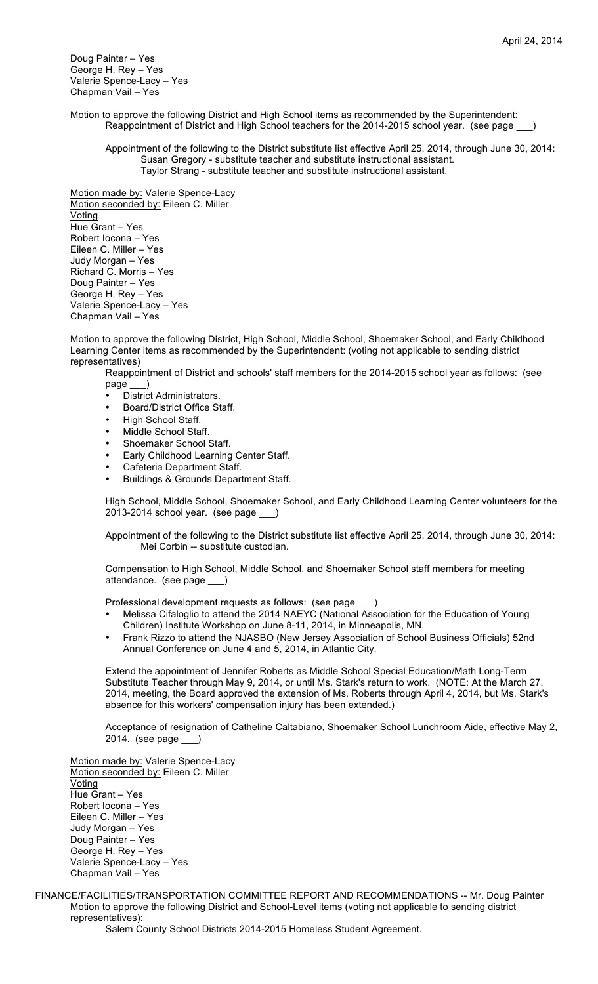Doug Painter – Yes George H. Rey – Yes Valerie Spence-Lacy – Yes Chapman Vail – Yes

Motion to approve the following District and High School items as recommended by the Superintendent: Reappointment of District and High School teachers for the 2014-2015 school year. (see page \_

Appointment of the following to the District substitute list effective April 25, 2014, through June 30, 2014: Susan Gregory - substitute teacher and substitute instructional assistant. Taylor Strang - substitute teacher and substitute instructional assistant.

Motion made by: Valerie Spence-Lacy Motion seconded by: Eileen C. Miller **Voting** Hue Grant – Yes Robert Iocona – Yes Eileen C. Miller – Yes Judy Morgan – Yes Richard C. Morris – Yes Doug Painter – Yes George H. Rey – Yes Valerie Spence-Lacy – Yes Chapman Vail – Yes

Motion to approve the following District, High School, Middle School, Shoemaker School, and Early Childhood Learning Center items as recommended by the Superintendent: (voting not applicable to sending district representatives)

Reappointment of District and schools' staff members for the 2014-2015 school year as follows: (see page \_\_\_)

- District Administrators.<br>• Board/District Office St
- Board/District Office Staff.
- High School Staff.
- Middle School Staff.
- Shoemaker School Staff.
- Early Childhood Learning Center Staff.
- Cafeteria Department Staff.
- Buildings & Grounds Department Staff.

High School, Middle School, Shoemaker School, and Early Childhood Learning Center volunteers for the 2013-2014 school year. (see page

Appointment of the following to the District substitute list effective April 25, 2014, through June 30, 2014: Mei Corbin -- substitute custodian.

Compensation to High School, Middle School, and Shoemaker School staff members for meeting attendance. (see page \_\_\_)

Professional development requests as follows: (see page

- Melissa Cifaloglio to attend the 2014 NAEYC (National Association for the Education of Young Children) Institute Workshop on June 8-11, 2014, in Minneapolis, MN.
- Frank Rizzo to attend the NJASBO (New Jersey Association of School Business Officials) 52nd Annual Conference on June 4 and 5, 2014, in Atlantic City.

Extend the appointment of Jennifer Roberts as Middle School Special Education/Math Long-Term Substitute Teacher through May 9, 2014, or until Ms. Stark's return to work. (NOTE: At the March 27, 2014, meeting, the Board approved the extension of Ms. Roberts through April 4, 2014, but Ms. Stark's absence for this workers' compensation injury has been extended.)

Acceptance of resignation of Catheline Caltabiano, Shoemaker School Lunchroom Aide, effective May 2, 2014. (see page \_\_\_)

Motion made by: Valerie Spence-Lacy Motion seconded by: Eileen C. Miller **Voting** Hue Grant – Yes Robert Iocona – Yes Eileen C. Miller – Yes Judy Morgan – Yes Doug Painter – Yes George H. Rey – Yes Valerie Spence-Lacy – Yes Chapman Vail – Yes

FINANCE/FACILITIES/TRANSPORTATION COMMITTEE REPORT AND RECOMMENDATIONS -- Mr. Doug Painter Motion to approve the following District and School-Level items (voting not applicable to sending district representatives):

Salem County School Districts 2014-2015 Homeless Student Agreement.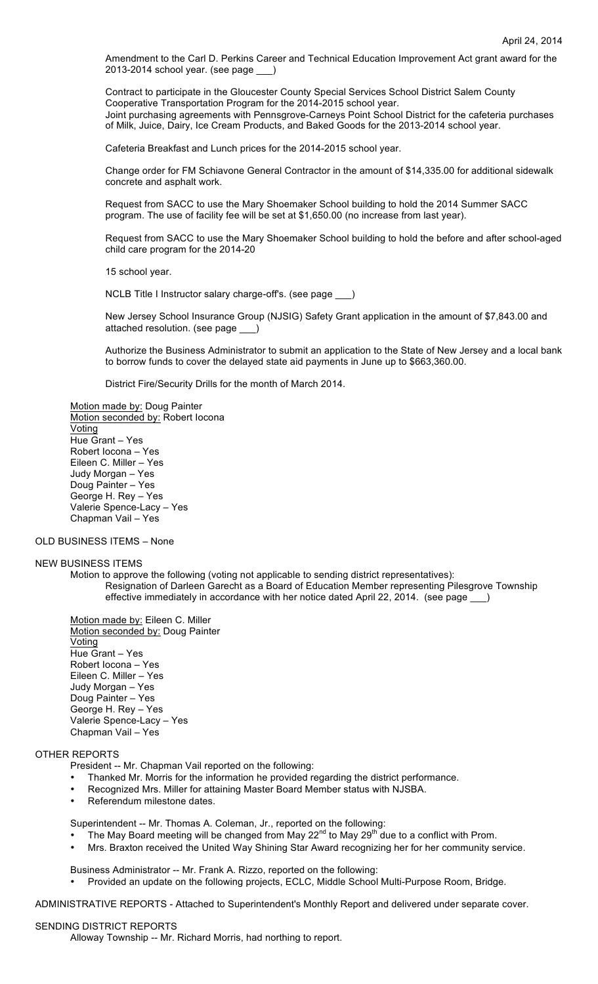Amendment to the Carl D. Perkins Career and Technical Education Improvement Act grant award for the 2013-2014 school year. (see page \_\_\_)

Contract to participate in the Gloucester County Special Services School District Salem County Cooperative Transportation Program for the 2014-2015 school year. Joint purchasing agreements with Pennsgrove-Carneys Point School District for the cafeteria purchases of Milk, Juice, Dairy, Ice Cream Products, and Baked Goods for the 2013-2014 school year.

Cafeteria Breakfast and Lunch prices for the 2014-2015 school year.

Change order for FM Schiavone General Contractor in the amount of \$14,335.00 for additional sidewalk concrete and asphalt work.

Request from SACC to use the Mary Shoemaker School building to hold the 2014 Summer SACC program. The use of facility fee will be set at \$1,650.00 (no increase from last year).

Request from SACC to use the Mary Shoemaker School building to hold the before and after school-aged child care program for the 2014-20

15 school year.

NCLB Title I Instructor salary charge-off's. (see page \_\_\_)

New Jersey School Insurance Group (NJSIG) Safety Grant application in the amount of \$7,843.00 and attached resolution. (see page

Authorize the Business Administrator to submit an application to the State of New Jersey and a local bank to borrow funds to cover the delayed state aid payments in June up to \$663,360.00.

District Fire/Security Drills for the month of March 2014.

Motion made by: Doug Painter Motion seconded by: Robert locona **Voting** Hue Grant – Yes Robert Iocona – Yes Eileen C. Miller – Yes Judy Morgan – Yes Doug Painter – Yes George H. Rey – Yes Valerie Spence-Lacy – Yes Chapman Vail – Yes

## OLD BUSINESS ITEMS – None

#### NEW BUSINESS ITEMS

Motion to approve the following (voting not applicable to sending district representatives): Resignation of Darleen Garecht as a Board of Education Member representing Pilesgrove Township effective immediately in accordance with her notice dated April 22, 2014. (see page )

Motion made by: Eileen C. Miller Motion seconded by: Doug Painter Voting Hue Grant – Yes Robert Iocona – Yes Eileen C. Miller – Yes Judy Morgan – Yes Doug Painter – Yes George H. Rey – Yes Valerie Spence-Lacy – Yes Chapman Vail – Yes

## OTHER REPORTS

President -- Mr. Chapman Vail reported on the following:

- Thanked Mr. Morris for the information he provided regarding the district performance.
- Recognized Mrs. Miller for attaining Master Board Member status with NJSBA.
- Referendum milestone dates.

Superintendent -- Mr. Thomas A. Coleman, Jr., reported on the following:

- The May Board meeting will be changed from May 22<sup>nd</sup> to May 29<sup>th</sup> due to a conflict with Prom.
- Mrs. Braxton received the United Way Shining Star Award recognizing her for her community service.

Business Administrator -- Mr. Frank A. Rizzo, reported on the following:

• Provided an update on the following projects, ECLC, Middle School Multi-Purpose Room, Bridge.

ADMINISTRATIVE REPORTS - Attached to Superintendent's Monthly Report and delivered under separate cover.

#### SENDING DISTRICT REPORTS

Alloway Township -- Mr. Richard Morris, had northing to report.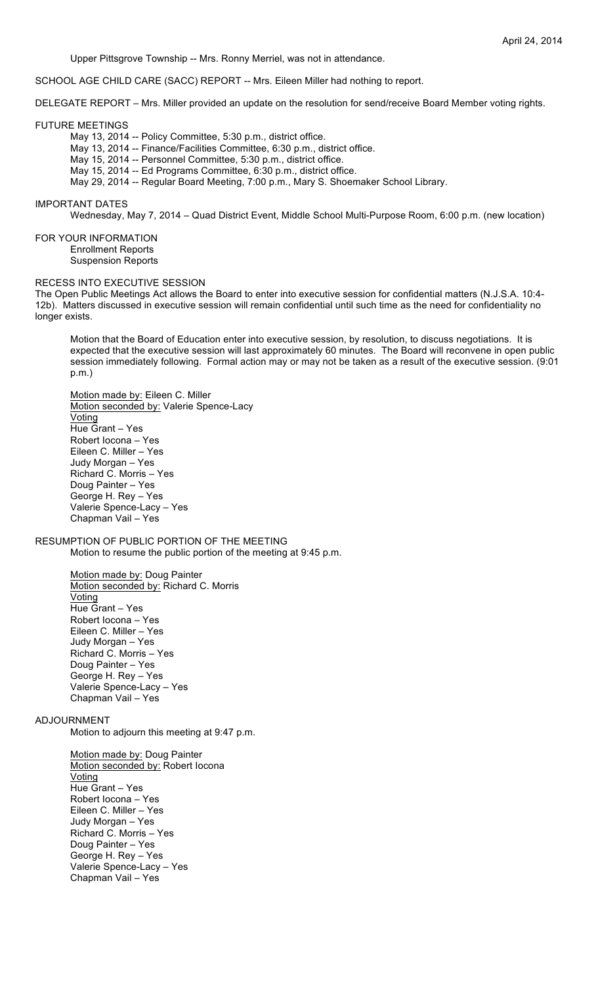Upper Pittsgrove Township -- Mrs. Ronny Merriel, was not in attendance.

SCHOOL AGE CHILD CARE (SACC) REPORT -- Mrs. Eileen Miller had nothing to report.

DELEGATE REPORT – Mrs. Miller provided an update on the resolution for send/receive Board Member voting rights.

#### FUTURE MEETINGS

- May 13, 2014 -- Policy Committee, 5:30 p.m., district office.
- May 13, 2014 -- Finance/Facilities Committee, 6:30 p.m., district office.
- May 15, 2014 -- Personnel Committee, 5:30 p.m., district office.
- May 15, 2014 -- Ed Programs Committee, 6:30 p.m., district office.
- May 29, 2014 -- Regular Board Meeting, 7:00 p.m., Mary S. Shoemaker School Library.

#### IMPORTANT DATES

Wednesday, May 7, 2014 – Quad District Event, Middle School Multi-Purpose Room, 6:00 p.m. (new location)

## FOR YOUR INFORMATION

- Enrollment Reports
- Suspension Reports

# RECESS INTO EXECUTIVE SESSION

The Open Public Meetings Act allows the Board to enter into executive session for confidential matters (N.J.S.A. 10:4- 12b). Matters discussed in executive session will remain confidential until such time as the need for confidentiality no longer exists.

Motion that the Board of Education enter into executive session, by resolution, to discuss negotiations. It is expected that the executive session will last approximately 60 minutes. The Board will reconvene in open public session immediately following. Formal action may or may not be taken as a result of the executive session. (9:01 p.m.)

Motion made by: Eileen C. Miller Motion seconded by: Valerie Spence-Lacy Voting Hue Grant – Yes Robert Iocona – Yes Eileen C. Miller – Yes Judy Morgan – Yes Richard C. Morris – Yes Doug Painter – Yes George H. Rey – Yes Valerie Spence-Lacy – Yes Chapman Vail – Yes

## RESUMPTION OF PUBLIC PORTION OF THE MEETING Motion to resume the public portion of the meeting at 9:45 p.m.

Motion made by: Doug Painter Motion seconded by: Richard C. Morris Voting Hue Grant – Yes Robert Iocona – Yes Eileen C. Miller – Yes Judy Morgan – Yes Richard C. Morris – Yes Doug Painter – Yes George H. Rey – Yes Valerie Spence-Lacy – Yes Chapman Vail – Yes

## ADJOURNMENT

Motion to adjourn this meeting at 9:47 p.m.

Motion made by: Doug Painter Motion seconded by: Robert locona **Voting** Hue Grant – Yes Robert Iocona – Yes Eileen C. Miller – Yes Judy Morgan – Yes Richard C. Morris – Yes Doug Painter – Yes George H. Rey – Yes Valerie Spence-Lacy – Yes Chapman Vail – Yes